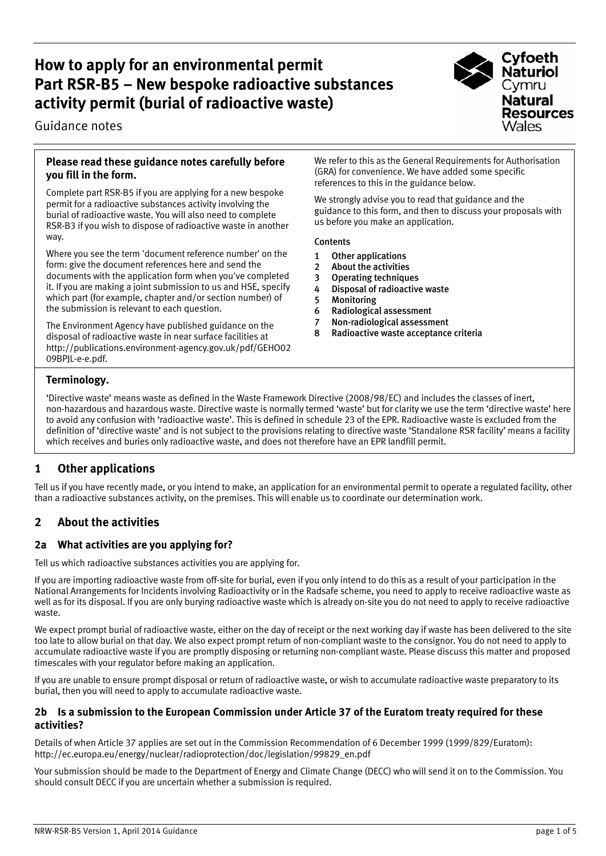# **How to apply for an environmental permit Part RSR-B5 – New bespoke radioactive substances activity permit (burial of radioactive waste)**

Guidance notes



#### **Please read these guidance notes carefully before you fill in the form.**

Complete part RSR-B5 if you are applying for a new bespoke permit for a radioactive substances activity involving the burial of radioactive waste. You will also need to complete RSR-B3 if you wish to dispose of radioactive waste in another way.

Where you see the term 'document reference number' on the form: give the document references here and send the documents with the application form when you've completed it. If you are making a joint submission to us and HSE, specify which part (for example, chapter and/or section number) of the submission is relevant to each question.

The Environment Agency have published guidance on the disposal of radioactive waste in near surface facilities at http://publications.environment-agency.gov.uk/pdf/GEHO02 09BPJL-e-e.pdf.

We refer to this as the General Requirements for Authorisation (GRA) for convenience. We have added some specific references to this in the guidance below.

We strongly advise you to read that guidance and the guidance to this form, and then to discuss your proposals with us before you make an application.

#### Contents

- 1 Other applications
- 2 About the activities
- 3 Operating techniques
- 4 Disposal of radioactive waste
- 5 Monitoring
- 6 Radiological assessment
- 7 Non-radiological assessment<br>8 Radioactive waste acceptance
- Radioactive waste acceptance criteria

## **Terminology.**

'Directive waste' means waste as defined in the Waste Framework Directive (2008/98/EC) and includes the classes of inert, non-hazardous and hazardous waste. Directive waste is normally termed 'waste' but for clarity we use the term 'directive waste' here to avoid any confusion with 'radioactive waste'. This is defined in schedule 23 of the EPR. Radioactive waste is excluded from the definition of 'directive waste' and is not subject to the provisions relating to directive waste 'Standalone RSR facility' means a facility which receives and buries only radioactive waste, and does not therefore have an EPR landfill permit.

# **1 Other applications**

Tell us if you have recently made, or you intend to make, an application for an environmental permit to operate a regulated facility, other than a radioactive substances activity, on the premises. This will enable us to coordinate our determination work.

# **2 About the activities**

## **2a What activities are you applying for?**

Tell us which radioactive substances activities you are applying for.

If you are importing radioactive waste from off-site for burial, even if you only intend to do this as a result of your participation in the National Arrangements for Incidents involving Radioactivity or in the Radsafe scheme, you need to apply to receive radioactive waste as well as for its disposal. If you are only burying radioactive waste which is already on-site you do not need to apply to receive radioactive waste.

We expect prompt burial of radioactive waste, either on the day of receipt or the next working day if waste has been delivered to the site too late to allow burial on that day. We also expect prompt return of non-compliant waste to the consignor. You do not need to apply to accumulate radioactive waste if you are promptly disposing or returning non-compliant waste. Please discuss this matter and proposed timescales with your regulator before making an application.

If you are unable to ensure prompt disposal or return of radioactive waste, or wish to accumulate radioactive waste preparatory to its burial, then you will need to apply to accumulate radioactive waste.

### **2b Is a submission to the European Commission under Article 37 of the Euratom treaty required for these activities?**

Details of when Article 37 applies are set out in the Commission Recommendation of 6 December 1999 (1999/829/Euratom): http://ec.europa.eu/energy/nuclear/radioprotection/doc/legislation/99829\_en.pdf

Your submission should be made to the Department of Energy and Climate Change (DECC) who will send it on to the Commission. You should consult DECC if you are uncertain whether a submission is required.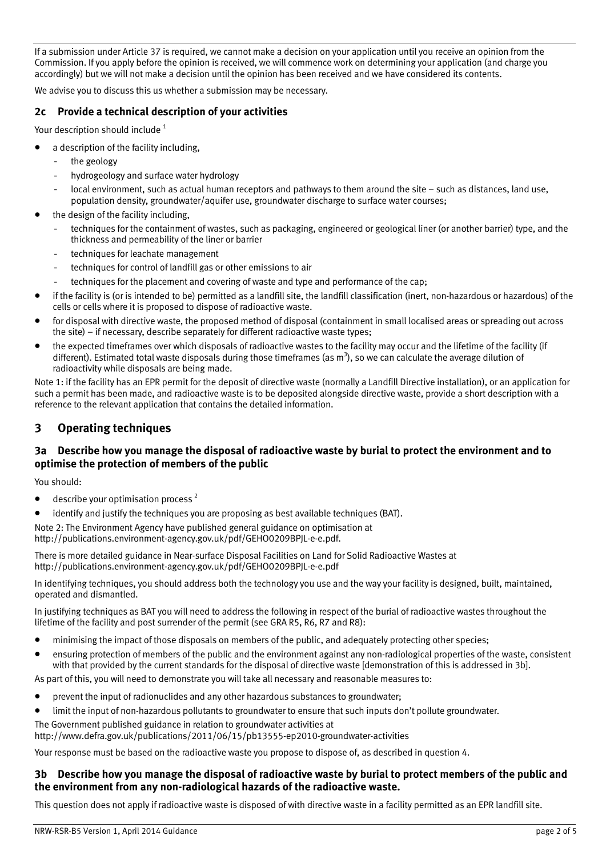If a submission under Article 37 is required, we cannot make a decision on your application until you receive an opinion from the Commission. If you apply before the opinion is received, we will commence work on determining your application (and charge you accordingly) but we will not make a decision until the opinion has been received and we have considered its contents.

We advise you to discuss this us whether a submission may be necessary.

## **2c Provide a technical description of your activities**

Your description should include<sup>1</sup>

- a description of the facility including,
	- the geology
	- hydrogeology and surface water hydrology
	- local environment, such as actual human receptors and pathways to them around the site such as distances, land use, population density, groundwater/aquifer use, groundwater discharge to surface water courses;
- the design of the facility including,
	- techniques for the containment of wastes, such as packaging, engineered or geological liner (or another barrier) type, and the thickness and permeability of the liner or barrier
	- techniques for leachate management
	- techniques for control of landfill gas or other emissions to air
	- techniques for the placement and covering of waste and type and performance of the cap;
- if the facility is (or is intended to be) permitted as a landfill site, the landfill classification (inert, non-hazardous or hazardous) of the cells or cells where it is proposed to dispose of radioactive waste.
- for disposal with directive waste, the proposed method of disposal (containment in small localised areas or spreading out across the site) – if necessary, describe separately for different radioactive waste types;
- the expected timeframes over which disposals of radioactive wastes to the facility may occur and the lifetime of the facility (if different). Estimated total waste disposals during those timeframes (as m<sup>3</sup>), so we can calculate the average dilution of radioactivity while disposals are being made.

Note 1: if the facility has an EPR permit for the deposit of directive waste (normally a Landfill Directive installation), or an application for such a permit has been made, and radioactive waste is to be deposited alongside directive waste, provide a short description with a reference to the relevant application that contains the detailed information.

## **3 Operating techniques**

### **3a Describe how you manage the disposal of radioactive waste by burial to protect the environment and to optimise the protection of members of the public**

You should:

- $\bullet$  describe your optimisation process<sup>2</sup>
- identify and justify the techniques you are proposing as best available techniques (BAT).

Note 2: The Environment Agency have published general guidance on optimisation at http://publications.environment-agency.gov.uk/pdf/GEHO0209BPJL-e-e.pdf.

There is more detailed guidance in Near-surface Disposal Facilities on Land for Solid Radioactive Wastes at http://publications.environment-agency.gov.uk/pdf/GEHO0209BPJL-e-e.pdf

In identifying techniques, you should address both the technology you use and the way your facility is designed, built, maintained, operated and dismantled.

In justifying techniques as BAT you will need to address the following in respect of the burial of radioactive wastes throughout the lifetime of the facility and post surrender of the permit (see GRA R5, R6, R7 and R8):

- minimising the impact of those disposals on members of the public, and adequately protecting other species;
- ensuring protection of members of the public and the environment against any non-radiological properties of the waste, consistent with that provided by the current standards for the disposal of directive waste [demonstration of this is addressed in 3b].

As part of this, you will need to demonstrate you will take all necessary and reasonable measures to:

- prevent the input of radionuclides and any other hazardous substances to groundwater;
- limit the input of non-hazardous pollutants to groundwater to ensure that such inputs don't pollute groundwater.
- The Government published guidance in relation to groundwater activities at

http://www.defra.gov.uk/publications/2011/06/15/pb13555-ep2010-groundwater-activities

Your response must be based on the radioactive waste you propose to dispose of, as described in question 4.

## **3b Describe how you manage the disposal of radioactive waste by burial to protect members of the public and the environment from any non-radiological hazards of the radioactive waste.**

This question does not apply if radioactive waste is disposed of with directive waste in a facility permitted as an EPR landfill site.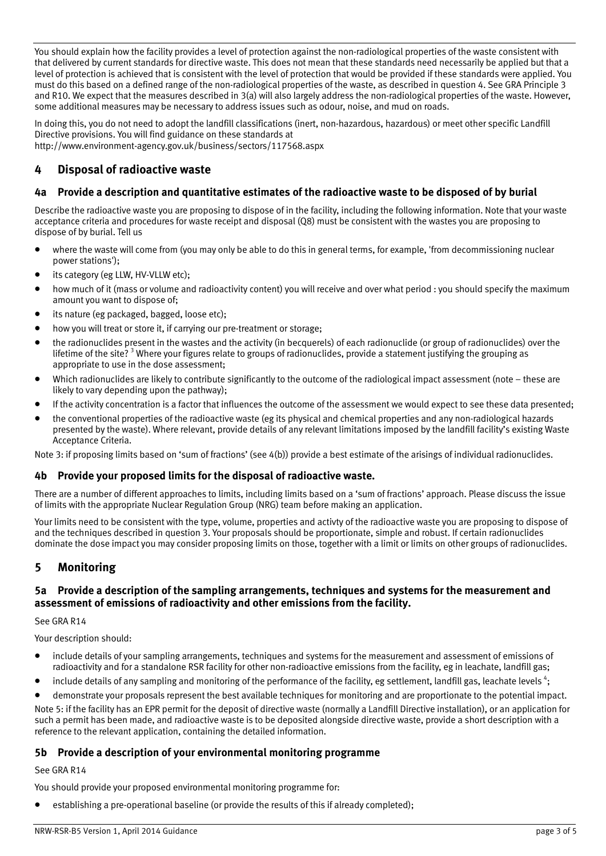You should explain how the facility provides a level of protection against the non-radiological properties of the waste consistent with that delivered by current standards for directive waste. This does not mean that these standards need necessarily be applied but that a level of protection is achieved that is consistent with the level of protection that would be provided if these standards were applied. You must do this based on a defined range of the non-radiological properties of the waste, as described in question 4. See GRA Principle 3 and R10. We expect that the measures described in 3(a) will also largely address the non-radiological properties of the waste. However, some additional measures may be necessary to address issues such as odour, noise, and mud on roads.

In doing this, you do not need to adopt the landfill classifications (inert, non-hazardous, hazardous) or meet other specific Landfill Directive provisions. You will find guidance on these standards at http://www.environment-agency.gov.uk/business/sectors/117568.aspx

## **4 Disposal of radioactive waste**

## **4a Provide a description and quantitative estimates of the radioactive waste to be disposed of by burial**

Describe the radioactive waste you are proposing to dispose of in the facility, including the following information. Note that your waste acceptance criteria and procedures for waste receipt and disposal (Q8) must be consistent with the wastes you are proposing to dispose of by burial. Tell us

- where the waste will come from (you may only be able to do this in general terms, for example, 'from decommissioning nuclear power stations');
- its category (eg LLW, HV-VLLW etc);
- how much of it (mass or volume and radioactivity content) you will receive and over what period : you should specify the maximum amount you want to dispose of;
- its nature (eg packaged, bagged, loose etc);
- how you will treat or store it, if carrying our pre-treatment or storage;
- the radionuclides present in the wastes and the activity (in becquerels) of each radionuclide (or group of radionuclides) over the lifetime of the site? <sup>3</sup> Where your figures relate to groups of radionuclides, provide a statement justifying the grouping as appropriate to use in the dose assessment;
- Which radionuclides are likely to contribute significantly to the outcome of the radiological impact assessment (note these are likely to vary depending upon the pathway);
- If the activity concentration is a factor that influences the outcome of the assessment we would expect to see these data presented;
- the conventional properties of the radioactive waste (eg its physical and chemical properties and any non-radiological hazards presented by the waste). Where relevant, provide details of any relevant limitations imposed by the landfill facility's existing Waste Acceptance Criteria.

Note 3: if proposing limits based on 'sum of fractions' (see 4(b)) provide a best estimate of the arisings of individual radionuclides.

#### **4b Provide your proposed limits for the disposal of radioactive waste.**

There are a number of different approaches to limits, including limits based on a 'sum of fractions' approach. Please discuss the issue of limits with the appropriate Nuclear Regulation Group (NRG) team before making an application.

Your limits need to be consistent with the type, volume, properties and activty of the radioactive waste you are proposing to dispose of and the techniques described in question 3. Your proposals should be proportionate, simple and robust. If certain radionuclides dominate the dose impact you may consider proposing limits on those, together with a limit or limits on other groups of radionuclides.

## **5 Monitoring**

### **5a Provide a description of the sampling arrangements, techniques and systems for the measurement and assessment of emissions of radioactivity and other emissions from the facility.**

See GRA R14

Your description should:

- include details of your sampling arrangements, techniques and systems for the measurement and assessment of emissions of radioactivity and for a standalone RSR facility for other non-radioactive emissions from the facility, eg in leachate, landfill gas;
- $\bullet$  include details of any sampling and monitoring of the performance of the facility, eg settlement, landfill gas, leachate levels<sup>4</sup>;

• demonstrate your proposals represent the best available techniques for monitoring and are proportionate to the potential impact. Note 5: if the facility has an EPR permit for the deposit of directive waste (normally a Landfill Directive installation), or an application for such a permit has been made, and radioactive waste is to be deposited alongside directive waste, provide a short description with a reference to the relevant application, containing the detailed information.

#### **5b Provide a description of your environmental monitoring programme**

See GRA R14

You should provide your proposed environmental monitoring programme for:

• establishing a pre-operational baseline (or provide the results of this if already completed);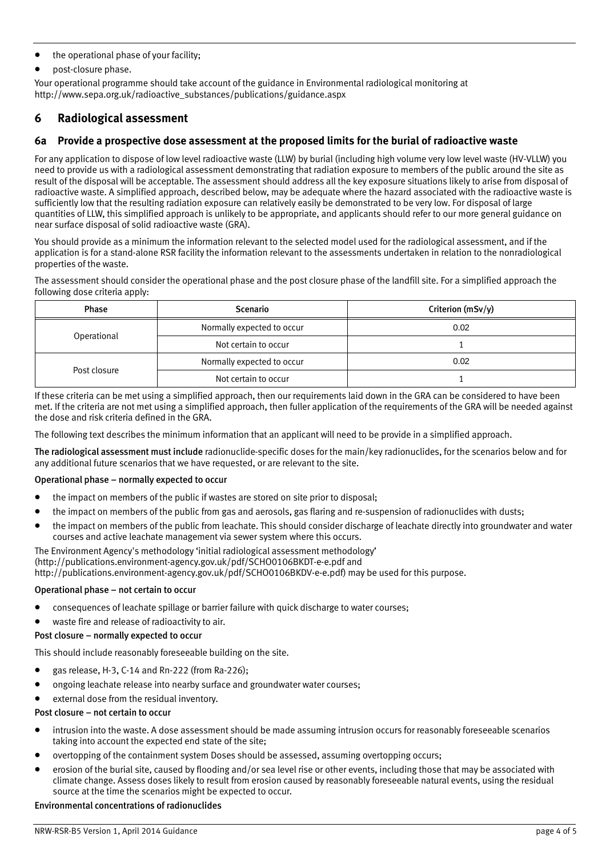- the operational phase of your facility;
- post-closure phase.

Your operational programme should take account of the guidance in Environmental radiological monitoring at http://www.sepa.org.uk/radioactive\_substances/publications/guidance.aspx

## **6 Radiological assessment**

### **6a Provide a prospective dose assessment at the proposed limits for the burial of radioactive waste**

For any application to dispose of low level radioactive waste (LLW) by burial (including high volume very low level waste (HV-VLLW) you need to provide us with a radiological assessment demonstrating that radiation exposure to members of the public around the site as result of the disposal will be acceptable. The assessment should address all the key exposure situations likely to arise from disposal of radioactive waste. A simplified approach, described below, may be adequate where the hazard associated with the radioactive waste is sufficiently low that the resulting radiation exposure can relatively easily be demonstrated to be very low. For disposal of large quantities of LLW, this simplified approach is unlikely to be appropriate, and applicants should refer to our more general guidance on near surface disposal of solid radioactive waste (GRA).

You should provide as a minimum the information relevant to the selected model used for the radiological assessment, and if the application is for a stand-alone RSR facility the information relevant to the assessments undertaken in relation to the nonradiological properties of the waste.

The assessment should consider the operational phase and the post closure phase of the landfill site. For a simplified approach the following dose criteria apply:

| Phase        | <b>Scenario</b>            | Criterion $(mSv/y)$ |
|--------------|----------------------------|---------------------|
| Operational  | Normally expected to occur | 0.02                |
|              | Not certain to occur       |                     |
| Post closure | Normally expected to occur | 0.02                |
|              | Not certain to occur       |                     |

If these criteria can be met using a simplified approach, then our requirements laid down in the GRA can be considered to have been met. If the criteria are not met using a simplified approach, then fuller application of the requirements of the GRA will be needed against the dose and risk criteria defined in the GRA.

The following text describes the minimum information that an applicant will need to be provide in a simplified approach.

The radiological assessment must include radionuclide-specific doses for the main/key radionuclides, for the scenarios below and for any additional future scenarios that we have requested, or are relevant to the site.

#### Operational phase – normally expected to occur

- the impact on members of the public if wastes are stored on site prior to disposal;
- the impact on members of the public from gas and aerosols, gas flaring and re-suspension of radionuclides with dusts;
- the impact on members of the public from leachate. This should consider discharge of leachate directly into groundwater and water courses and active leachate management via sewer system where this occurs.

The Environment Agency's methodology 'initial radiological assessment methodology' (http://publications.environment-agency.gov.uk/pdf/SCHO0106BKDT-e-e.pdf and http://publications.environment-agency.gov.uk/pdf/SCHO0106BKDV-e-e.pdf) may be used for this purpose.

#### Operational phase – not certain to occur

- consequences of leachate spillage or barrier failure with quick discharge to water courses;
- waste fire and release of radioactivity to air.

#### Post closure – normally expected to occur

This should include reasonably foreseeable building on the site.

- gas release, H-3, C-14 and Rn-222 (from Ra-226);
- ongoing leachate release into nearby surface and groundwater water courses;
- external dose from the residual inventory.

#### Post closure – not certain to occur

- intrusion into the waste. A dose assessment should be made assuming intrusion occurs for reasonably foreseeable scenarios taking into account the expected end state of the site;
- overtopping of the containment system Doses should be assessed, assuming overtopping occurs;
- erosion of the burial site, caused by flooding and/or sea level rise or other events, including those that may be associated with climate change. Assess doses likely to result from erosion caused by reasonably foreseeable natural events, using the residual source at the time the scenarios might be expected to occur.

#### Environmental concentrations of radionuclides